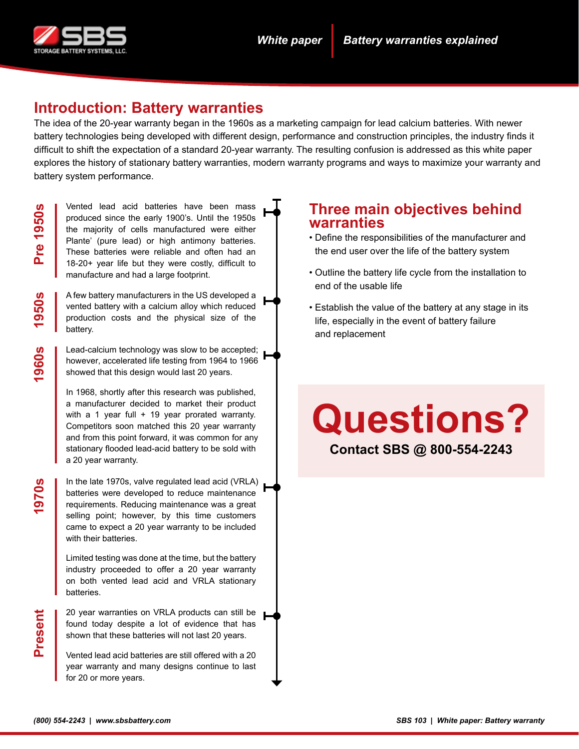

# **Introduction: Battery warranties**

The idea of the 20-year warranty began in the 1960s as a marketing campaign for lead calcium batteries. With newer battery technologies being developed with different design, performance and construction principles, the industry finds it difficult to shift the expectation of a standard 20-year warranty. The resulting confusion is addressed as this white paper explores the history of stationary battery warranties, modern warranty programs and ways to maximize your warranty and battery system performance.

**1950s**

**1960s**

**1970s**

Vented lead acid batteries have been mass produced since the early 1900's. Until the 1950s the majority of cells manufactured were either Plante' (pure lead) or high antimony batteries. These batteries were reliable and often had an 18-20+ year life but they were costly, difficult to manufacture and had a large footprint.

A few battery manufacturers in the US developed a vented battery with a calcium alloy which reduced production costs and the physical size of the battery.

Lead-calcium technology was slow to be accepted; however, accelerated life testing from 1964 to 1966 showed that this design would last 20 years.

In 1968, shortly after this research was published, a manufacturer decided to market their product with a 1 year full + 19 year prorated warranty. Competitors soon matched this 20 year warranty and from this point forward, it was common for any stationary flooded lead-acid battery to be sold with a 20 year warranty.

In the late 1970s, valve regulated lead acid (VRLA) batteries were developed to reduce maintenance requirements. Reducing maintenance was a great selling point; however, by this time customers came to expect a 20 year warranty to be included with their batteries.

Limited testing was done at the time, but the battery industry proceeded to offer a 20 year warranty on both vented lead acid and VRLA stationary batteries.

20 year warranties on VRLA products can still be found today despite a lot of evidence that has shown that these batteries will not last 20 years.

Vented lead acid batteries are still offered with a 20 year warranty and many designs continue to last for 20 or more years.

### **Three main objectives behind warranties**

- Define the responsibilities of the manufacturer and the end user over the life of the battery system
- Outline the battery life cycle from the installation to end of the usable life
- Establish the value of the battery at any stage in its life, especially in the event of battery failure and replacement

# **Questions?**

**Contact SBS @ 800-554-2243**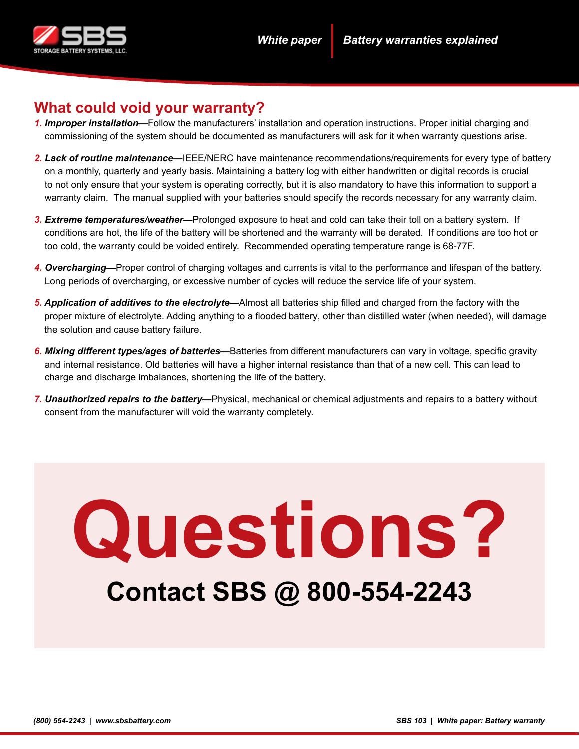

# **What could void your warranty?**

- *1. Improper installation—*Follow the manufacturers' installation and operation instructions. Proper initial charging and commissioning of the system should be documented as manufacturers will ask for it when warranty questions arise.
- *2. Lack of routine maintenance—*IEEE/NERC have maintenance recommendations/requirements for every type of battery on a monthly, quarterly and yearly basis. Maintaining a battery log with either handwritten or digital records is crucial to not only ensure that your system is operating correctly, but it is also mandatory to have this information to support a warranty claim. The manual supplied with your batteries should specify the records necessary for any warranty claim.
- *3. Extreme temperatures/weather—*Prolonged exposure to heat and cold can take their toll on a battery system. If conditions are hot, the life of the battery will be shortened and the warranty will be derated. If conditions are too hot or too cold, the warranty could be voided entirely. Recommended operating temperature range is 68-77F.
- *4. Overcharging—*Proper control of charging voltages and currents is vital to the performance and lifespan of the battery. Long periods of overcharging, or excessive number of cycles will reduce the service life of your system.
- *5. Application of additives to the electrolyte—*Almost all batteries ship filled and charged from the factory with the proper mixture of electrolyte. Adding anything to a flooded battery, other than distilled water (when needed), will damage the solution and cause battery failure.
- *6. Mixing different types/ages of batteries—*Batteries from different manufacturers can vary in voltage, specific gravity and internal resistance. Old batteries will have a higher internal resistance than that of a new cell. This can lead to charge and discharge imbalances, shortening the life of the battery.
- *7. Unauthorized repairs to the battery—*Physical, mechanical or chemical adjustments and repairs to a battery without consent from the manufacturer will void the warranty completely.

# **Questions? Contact SBS @ 800-554-2243**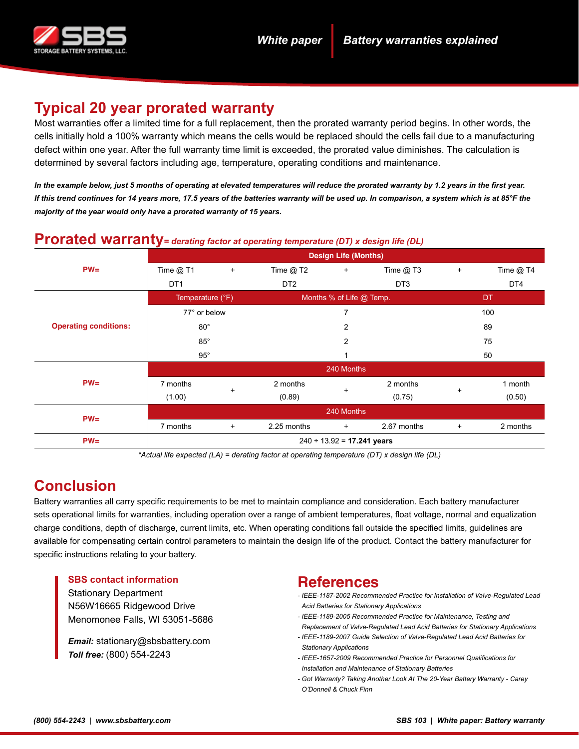

# **Typical 20 year prorated warranty**

Most warranties offer a limited time for a full replacement, then the prorated warranty period begins. In other words, the cells initially hold a 100% warranty which means the cells would be replaced should the cells fail due to a manufacturing defect within one year. After the full warranty time limit is exceeded, the prorated value diminishes. The calculation is determined by several factors including age, temperature, operating conditions and maintenance.

*In the example below, just 5 months of operating at elevated temperatures will reduce the prorated warranty by 1.2 years in the first year. If this trend continues for 14 years more, 17.5 years of the batteries warranty will be used up. In comparison, a system which is at 85°F the majority of the year would only have a prorated warranty of 15 years.*

| $\bf{1}$ $\bf{1}$ $\bf{0}$ $\bf{1}$ $\bf{0}$ $\bf{0}$ $\bf{1}$ $\bf{0}$ $\bf{1}$ $\bf{0}$ $\bf{1}$ $\bf{0}$ $\bf{0}$ $\bf{0}$ $\bf{0}$ $\bf{0}$ $\bf{0}$ $\bf{0}$ $\bf{0}$ $\bf{0}$ $\bf{0}$ $\bf{0}$ $\bf{0}$ $\bf{0}$ $\bf{0}$ $\bf{0}$ $\bf{0}$ $\bf{0$ |                                 |           |                          |           |                         |           |             |  |  |
|------------------------------------------------------------------------------------------------------------------------------------------------------------------------------------------------------------------------------------------------------------|---------------------------------|-----------|--------------------------|-----------|-------------------------|-----------|-------------|--|--|
|                                                                                                                                                                                                                                                            | <b>Design Life (Months)</b>     |           |                          |           |                         |           |             |  |  |
| $PW=$                                                                                                                                                                                                                                                      | Time $@$ T1                     | $\ddot{}$ | Time $@$ T2              | $\ddot{}$ | Time $@$ T <sub>3</sub> | $\ddot{}$ | Time $@$ T4 |  |  |
|                                                                                                                                                                                                                                                            | DT <sub>1</sub>                 |           | DT <sub>2</sub>          |           | DT <sub>3</sub>         |           | DT4         |  |  |
| <b>Operating conditions:</b>                                                                                                                                                                                                                               | Temperature (°F)                |           | Months % of Life @ Temp. |           |                         | <b>DT</b> |             |  |  |
|                                                                                                                                                                                                                                                            | 77° or below                    |           | $\overline{7}$           |           |                         | 100       |             |  |  |
|                                                                                                                                                                                                                                                            | $80^\circ$                      |           | $\overline{2}$           |           |                         | 89        |             |  |  |
|                                                                                                                                                                                                                                                            | $85^\circ$                      |           | 2                        |           |                         | 75        |             |  |  |
|                                                                                                                                                                                                                                                            | $95^\circ$                      |           |                          |           |                         | 50        |             |  |  |
| $PW=$                                                                                                                                                                                                                                                      | 240 Months                      |           |                          |           |                         |           |             |  |  |
|                                                                                                                                                                                                                                                            | 7 months                        | $\ddot{}$ | 2 months                 |           | 2 months                | $\ddot{}$ | 1 month     |  |  |
|                                                                                                                                                                                                                                                            | (1.00)                          |           | (0.89)                   | $\ddot{}$ | (0.75)                  |           | (0.50)      |  |  |
| $PW=$                                                                                                                                                                                                                                                      | 240 Months                      |           |                          |           |                         |           |             |  |  |
|                                                                                                                                                                                                                                                            | 7 months                        | $\ddot{}$ | 2.25 months              | $+$       | 2.67 months             | $\ddot{}$ | 2 months    |  |  |
| $PW=$                                                                                                                                                                                                                                                      | $240 \div 13.92 = 17.241$ years |           |                          |           |                         |           |             |  |  |

#### **Prorated warranty***= derating factor at operating temperature (DT) x design life (DL)*

*\*Actual life expected (LA) = derating factor at operating temperature (DT) x design life (DL)*

# **Conclusion**

Battery warranties all carry specific requirements to be met to maintain compliance and consideration. Each battery manufacturer sets operational limits for warranties, including operation over a range of ambient temperatures, float voltage, normal and equalization charge conditions, depth of discharge, current limits, etc. When operating conditions fall outside the specified limits, guidelines are available for compensating certain control parameters to maintain the design life of the product. Contact the battery manufacturer for specific instructions relating to your battery.

#### **SBS contact information**

Stationary Department N56W16665 Ridgewood Drive Menomonee Falls, WI 53051-5686

*Email:* stationary@sbsbattery.com *Toll free:* (800) 554-2243

# **References**

- *IEEE-1187-2002 Recommended Practice for Installation of Valve-Regulated Lead Acid Batteries for Stationary Applications*
- *IEEE-1189-2005 Recommended Practice for Maintenance, Testing and Replacement of Valve-Regulated Lead Acid Batteries for Stationary Applications*
- *IEEE-1189-2007 Guide Selection of Valve-Regulated Lead Acid Batteries for Stationary Applications*
- *IEEE-1657-2009 Recommended Practice for Personnel Qualifications for Installation and Maintenance of Stationary Batteries*
- *Got Warranty? Taking Another Look At The 20-Year Battery Warranty Carey O'Donnell & Chuck Finn*